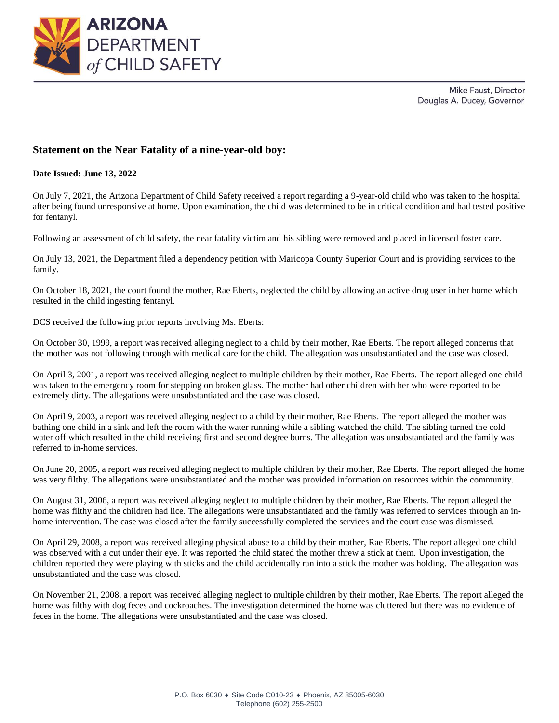



## **Statement on the Near Fatality of a nine-year-old boy:**

## **Date Issued: June 13, 2022**

On July 7, 2021, the Arizona Department of Child Safety received a report regarding a 9-year-old child who was taken to the hospital after being found unresponsive at home. Upon examination, the child was determined to be in critical condition and had tested positive for fentanyl.

Following an assessment of child safety, the near fatality victim and his sibling were removed and placed in licensed foster care.

On July 13, 2021, the Department filed a dependency petition with Maricopa County Superior Court and is providing services to the family.

On October 18, 2021, the court found the mother, Rae Eberts, neglected the child by allowing an active drug user in her home which resulted in the child ingesting fentanyl.

DCS received the following prior reports involving Ms. Eberts:

On October 30, 1999, a report was received alleging neglect to a child by their mother, Rae Eberts. The report alleged concerns that the mother was not following through with medical care for the child. The allegation was unsubstantiated and the case was closed.

On April 3, 2001, a report was received alleging neglect to multiple children by their mother, Rae Eberts. The report alleged one child was taken to the emergency room for stepping on broken glass. The mother had other children with her who were reported to be extremely dirty. The allegations were unsubstantiated and the case was closed.

On April 9, 2003, a report was received alleging neglect to a child by their mother, Rae Eberts. The report alleged the mother was bathing one child in a sink and left the room with the water running while a sibling watched the child. The sibling turned the cold water off which resulted in the child receiving first and second degree burns. The allegation was unsubstantiated and the family was referred to in-home services.

On June 20, 2005, a report was received alleging neglect to multiple children by their mother, Rae Eberts. The report alleged the home was very filthy. The allegations were unsubstantiated and the mother was provided information on resources within the community.

On August 31, 2006, a report was received alleging neglect to multiple children by their mother, Rae Eberts. The report alleged the home was filthy and the children had lice. The allegations were unsubstantiated and the family was referred to services through an inhome intervention. The case was closed after the family successfully completed the services and the court case was dismissed.

On April 29, 2008, a report was received alleging physical abuse to a child by their mother, Rae Eberts. The report alleged one child was observed with a cut under their eye. It was reported the child stated the mother threw a stick at them. Upon investigation, the children reported they were playing with sticks and the child accidentally ran into a stick the mother was holding. The allegation was unsubstantiated and the case was closed.

On November 21, 2008, a report was received alleging neglect to multiple children by their mother, Rae Eberts. The report alleged the home was filthy with dog feces and cockroaches. The investigation determined the home was cluttered but there was no evidence of feces in the home. The allegations were unsubstantiated and the case was closed.